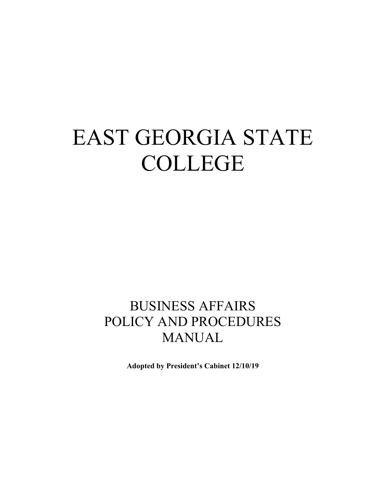# EAST GEORGIA STATE COLLEGE

# BUSINESS AFFAIRS POLICY AND PROCEDURES MANUAL

**Adopted by President's Cabinet 12/10/19**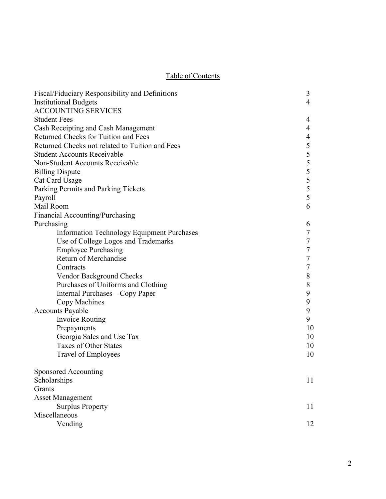# Table of Contents

| Fiscal/Fiduciary Responsibility and Definitions   | 3              |
|---------------------------------------------------|----------------|
| <b>Institutional Budgets</b>                      | $\overline{4}$ |
| <b>ACCOUNTING SERVICES</b>                        |                |
| <b>Student Fees</b>                               | 4              |
| Cash Receipting and Cash Management               | 4              |
| Returned Checks for Tuition and Fees              | 4              |
| Returned Checks not related to Tuition and Fees   | 5              |
| <b>Student Accounts Receivable</b>                | 5              |
| Non-Student Accounts Receivable                   | 5              |
| <b>Billing Dispute</b>                            | 5              |
| Cat Card Usage                                    | 5              |
| Parking Permits and Parking Tickets               | 5              |
| Payroll                                           | 5              |
| Mail Room                                         | 6              |
| Financial Accounting/Purchasing                   |                |
| Purchasing                                        | 6              |
| <b>Information Technology Equipment Purchases</b> | 7              |
| Use of College Logos and Trademarks               | $\overline{7}$ |
| <b>Employee Purchasing</b>                        | 7              |
| Return of Merchandise                             | 7              |
| Contracts                                         | 7              |
| Vendor Background Checks                          | 8              |
| Purchases of Uniforms and Clothing                | $8\,$          |
| Internal Purchases - Copy Paper                   | 9              |
| Copy Machines                                     | 9              |
| <b>Accounts Payable</b>                           | 9              |
| <b>Invoice Routing</b>                            | 9              |
| Prepayments                                       | 10             |
| Georgia Sales and Use Tax                         | 10             |
| <b>Taxes of Other States</b>                      | 10             |
| Travel of Employees                               | 10             |
| Sponsored Accounting                              |                |
| Scholarships                                      | 11             |
| Grants                                            |                |
| <b>Asset Management</b>                           |                |
| <b>Surplus Property</b>                           | 11             |
| Miscellaneous                                     |                |
| Vending                                           | 12             |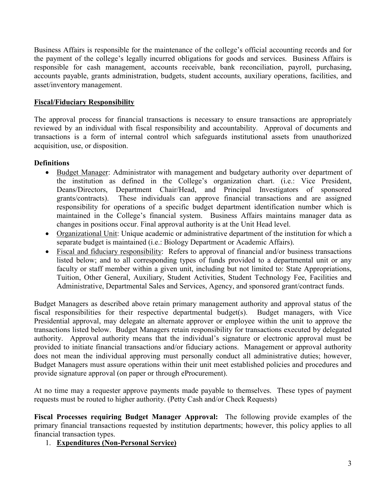Business Affairs is responsible for the maintenance of the college's official accounting records and for the payment of the college's legally incurred obligations for goods and services. Business Affairs is responsible for cash management, accounts receivable, bank reconciliation, payroll, purchasing, accounts payable, grants administration, budgets, student accounts, auxiliary operations, facilities, and asset/inventory management.

# **Fiscal/Fiduciary Responsibility**

The approval process for financial transactions is necessary to ensure transactions are appropriately reviewed by an individual with fiscal responsibility and accountability. Approval of documents and transactions is a form of internal control which safeguards institutional assets from unauthorized acquisition, use, or disposition.

# **Definitions**

- Budget Manager: Administrator with management and budgetary authority over department of the institution as defined in the College's organization chart. (i.e.: Vice President, Deans/Directors, Department Chair/Head, and Principal Investigators of sponsored grants/contracts). These individuals can approve financial transactions and are assigned responsibility for operations of a specific budget department identification number which is maintained in the College's financial system. Business Affairs maintains manager data as changes in positions occur. Final approval authority is at the Unit Head level.
- Organizational Unit: Unique academic or administrative department of the institution for which a separate budget is maintained (i.e.: Biology Department or Academic Affairs).
- Fiscal and fiduciary responsibility: Refers to approval of financial and/or business transactions listed below; and to all corresponding types of funds provided to a departmental unit or any faculty or staff member within a given unit, including but not limited to: State Appropriations, Tuition, Other General, Auxiliary, Student Activities, Student Technology Fee, Facilities and Administrative, Departmental Sales and Services, Agency, and sponsored grant/contract funds.

Budget Managers as described above retain primary management authority and approval status of the fiscal responsibilities for their respective departmental budget(s). Budget managers, with Vice Presidential approval, may delegate an alternate approver or employee within the unit to approve the transactions listed below. Budget Managers retain responsibility for transactions executed by delegated authority. Approval authority means that the individual's signature or electronic approval must be provided to initiate financial transactions and/or fiduciary actions. Management or approval authority does not mean the individual approving must personally conduct all administrative duties; however, Budget Managers must assure operations within their unit meet established policies and procedures and provide signature approval (on paper or through eProcurement).

At no time may a requester approve payments made payable to themselves. These types of payment requests must be routed to higher authority. (Petty Cash and/or Check Requests)

**Fiscal Processes requiring Budget Manager Approval:** The following provide examples of the primary financial transactions requested by institution departments; however, this policy applies to all financial transaction types.

#### 1. **Expenditures (Non-Personal Service)**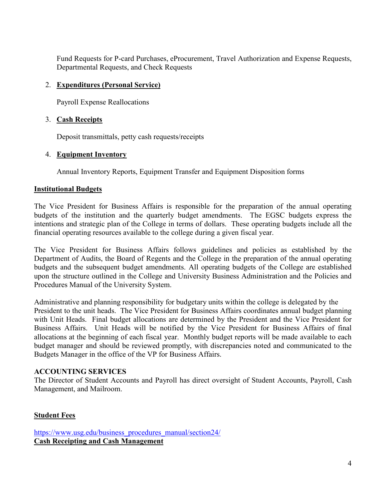Fund Requests for P-card Purchases, eProcurement, Travel Authorization and Expense Requests, Departmental Requests, and Check Requests

# 2. **Expenditures (Personal Service)**

Payroll Expense Reallocations

# 3. **Cash Receipts**

Deposit transmittals, petty cash requests/receipts

# 4. **Equipment Inventory**

Annual Inventory Reports, Equipment Transfer and Equipment Disposition forms

# **Institutional Budgets**

The Vice President for Business Affairs is responsible for the preparation of the annual operating budgets of the institution and the quarterly budget amendments. The EGSC budgets express the intentions and strategic plan of the College in terms of dollars. These operating budgets include all the financial operating resources available to the college during a given fiscal year.

The Vice President for Business Affairs follows guidelines and policies as established by the Department of Audits, the Board of Regents and the College in the preparation of the annual operating budgets and the subsequent budget amendments. All operating budgets of the College are established upon the structure outlined in the College and University Business Administration and the Policies and Procedures Manual of the University System.

Administrative and planning responsibility for budgetary units within the college is delegated by the President to the unit heads. The Vice President for Business Affairs coordinates annual budget planning with Unit Heads. Final budget allocations are determined by the President and the Vice President for Business Affairs. Unit Heads will be notified by the Vice President for Business Affairs of final allocations at the beginning of each fiscal year. Monthly budget reports will be made available to each budget manager and should be reviewed promptly, with discrepancies noted and communicated to the Budgets Manager in the office of the VP for Business Affairs.

# **ACCOUNTING SERVICES**

The Director of Student Accounts and Payroll has direct oversight of Student Accounts, Payroll, Cash Management, and Mailroom.

# **Student Fees**

[https://www.usg.edu/business\\_procedures\\_manual/section24/](https://www.usg.edu/business_procedures_manual/section24/) **Cash Receipting and Cash Management**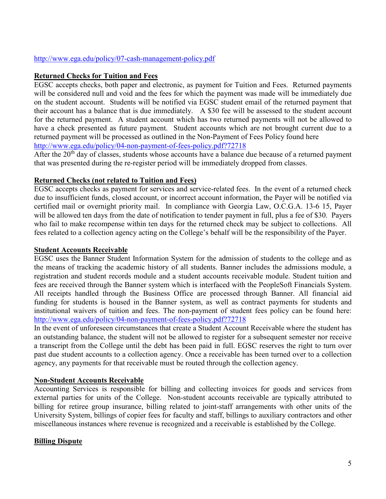#### <http://www.ega.edu/policy/07-cash-management-policy.pdf>

#### **Returned Checks for Tuition and Fees**

EGSC accepts checks, both paper and electronic, as payment for Tuition and Fees. Returned payments will be considered null and void and the fees for which the payment was made will be immediately due on the student account. Students will be notified via EGSC student email of the returned payment that their account has a balance that is due immediately. A \$30 fee will be assessed to the student account for the returned payment. A student account which has two returned payments will not be allowed to have a check presented as future payment. Student accounts which are not brought current due to a returned payment will be processed as outlined in the Non-Payment of Fees Policy found here <http://www.ega.edu/policy/04-non-payment-of-fees-policy.pdf?72718>

After the  $20<sup>th</sup>$  day of classes, students whose accounts have a balance due because of a returned payment that was presented during the re-register period will be immediately dropped from classes.

#### **Returned Checks (not related to Tuition and Fees)**

EGSC accepts checks as payment for services and service-related fees. In the event of a returned check due to insufficient funds, closed account, or incorrect account information, the Payer will be notified via certified mail or overnight priority mail. In compliance with Georgia Law, O.C.G.A. 13-6 15, Payer will be allowed ten days from the date of notification to tender payment in full, plus a fee of \$30. Payers who fail to make recompense within ten days for the returned check may be subject to collections. All fees related to a collection agency acting on the College's behalf will be the responsibility of the Payer.

#### **Student Accounts Receivable**

EGSC uses the Banner Student Information System for the admission of students to the college and as the means of tracking the academic history of all students. Banner includes the admissions module, a registration and student records module and a student accounts receivable module. Student tuition and fees are received through the Banner system which is interfaced with the PeopleSoft Financials System. All receipts handled through the Business Office are processed through Banner. All financial aid funding for students is housed in the Banner system, as well as contract payments for students and institutional waivers of tuition and fees. The non-payment of student fees policy can be found here: <http://www.ega.edu/policy/04-non-payment-of-fees-policy.pdf?72718>

In the event of unforeseen circumstances that create a Student Account Receivable where the student has an outstanding balance, the student will not be allowed to register for a subsequent semester nor receive a transcript from the College until the debt has been paid in full. EGSC reserves the right to turn over past due student accounts to a collection agency. Once a receivable has been turned over to a collection agency, any payments for that receivable must be routed through the collection agency.

#### **Non-Student Accounts Receivable**

Accounting Services is responsible for billing and collecting invoices for goods and services from external parties for units of the College. Non-student accounts receivable are typically attributed to billing for retiree group insurance, billing related to joint-staff arrangements with other units of the University System, billings of copier fees for faculty and staff, billings to auxiliary contractors and other miscellaneous instances where revenue is recognized and a receivable is established by the College.

#### **Billing Dispute**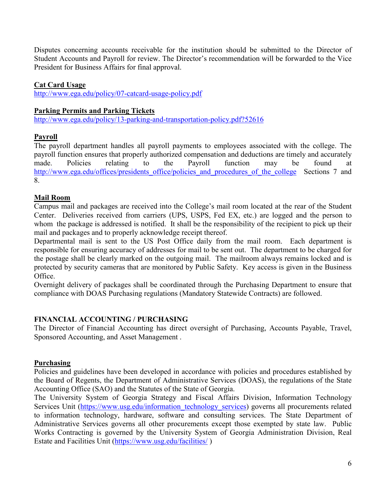Disputes concerning accounts receivable for the institution should be submitted to the Director of Student Accounts and Payroll for review. The Director's recommendation will be forwarded to the Vice President for Business Affairs for final approval.

# **Cat Card Usage**

<http://www.ega.edu/policy/07-catcard-usage-policy.pdf>

#### **Parking Permits and Parking Tickets**

<http://www.ega.edu/policy/13-parking-and-transportation-policy.pdf?52616>

# **Payroll**

The payroll department handles all payroll payments to employees associated with the college. The payroll function ensures that properly authorized compensation and deductions are timely and accurately made. Policies relating to the Payroll function may be found at [http://www.ega.edu/offices/presidents\\_office/policies\\_and\\_procedures\\_of\\_the\\_college](http://www.ega.edu/offices/presidents_office/policies_and_procedures_of_the_college) Sections 7 and 8.

# **Mail Room**

Campus mail and packages are received into the College's mail room located at the rear of the Student Center. Deliveries received from carriers (UPS, USPS, Fed EX, etc.) are logged and the person to whom the package is addressed is notified. It shall be the responsibility of the recipient to pick up their mail and packages and to properly acknowledge receipt thereof.

Departmental mail is sent to the US Post Office daily from the mail room. Each department is responsible for ensuring accuracy of addresses for mail to be sent out. The department to be charged for the postage shall be clearly marked on the outgoing mail. The mailroom always remains locked and is protected by security cameras that are monitored by Public Safety. Key access is given in the Business Office.

Overnight delivery of packages shall be coordinated through the Purchasing Department to ensure that compliance with DOAS Purchasing regulations (Mandatory Statewide Contracts) are followed.

# **FINANCIAL ACCOUNTING / PURCHASING**

The Director of Financial Accounting has direct oversight of Purchasing, Accounts Payable, Travel, Sponsored Accounting, and Asset Management .

#### **Purchasing**

Policies and guidelines have been developed in accordance with policies and procedures established by the Board of Regents, the Department of Administrative Services (DOAS), the regulations of the State Accounting Office (SAO) and the Statutes of the State of Georgia.

The University System of Georgia Strategy and Fiscal Affairs Division, Information Technology Services Unit [\(https://www.usg.edu/information\\_technology\\_services\)](https://www.usg.edu/information_technology_services) governs all procurements related to information technology, hardware, software and consulting services. The State Department of Administrative Services governs all other procurements except those exempted by state law. Public Works Contracting is governed by the University System of Georgia Administration Division, Real Estate and Facilities Unit [\(https://www.usg.edu/facilities/](https://www.usg.edu/facilities/) )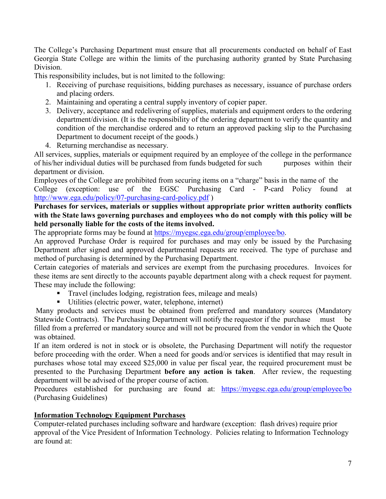The College's Purchasing Department must ensure that all procurements conducted on behalf of East Georgia State College are within the limits of the purchasing authority granted by State Purchasing Division.

This responsibility includes, but is not limited to the following:

- 1. Receiving of purchase requisitions, bidding purchases as necessary, issuance of purchase orders and placing orders.
- 2. Maintaining and operating a central supply inventory of copier paper.
- 3. Delivery, acceptance and redelivering of supplies, materials and equipment orders to the ordering department/division. (It is the responsibility of the ordering department to verify the quantity and condition of the merchandise ordered and to return an approved packing slip to the Purchasing Department to document receipt of the goods.)
- 4. Returning merchandise as necessary.

All services, supplies, materials or equipment required by an employee of the college in the performance of his/her individual duties will be purchased from funds budgeted for such purposes within their department or division.

Employees of the College are prohibited from securing items on a "charge" basis in the name of the College (exception: use of the EGSC Purchasing Card - P-card Policy found at <http://www.ega.edu/policy/07-purchasing-card-policy.pdf> )

# **Purchases for services, materials or supplies without appropriate prior written authority conflicts with the State laws governing purchases and employees who do not comply with this policy will be held personally liable for the costs of the items involved.**

The appropriate forms may be found at [https://myegsc.ega.edu/group/employee/bo.](https://myegsc.ega.edu/group/employee/bo)

An approved Purchase Order is required for purchases and may only be issued by the Purchasing Department after signed and approved departmental requests are received. The type of purchase and method of purchasing is determined by the Purchasing Department.

Certain categories of materials and services are exempt from the purchasing procedures. Invoices for these items are sent directly to the accounts payable department along with a check request for payment. These may include the following:

- Travel (includes lodging, registration fees, mileage and meals)
- Utilities (electric power, water, telephone, internet)

Many products and services must be obtained from preferred and mandatory sources (Mandatory Statewide Contracts). The Purchasing Department will notify the requestor if the purchase must be filled from a preferred or mandatory source and will not be procured from the vendor in which the Quote was obtained.

If an item ordered is not in stock or is obsolete, the Purchasing Department will notify the requestor before proceeding with the order. When a need for goods and/or services is identified that may result in purchases whose total may exceed \$25,000 in value per fiscal year, the required procurement must be presented to the Purchasing Department **before any action is taken**. After review, the requesting department will be advised of the proper course of action.

Procedures established for purchasing are found at: <https://myegsc.ega.edu/group/employee/bo> (Purchasing Guidelines)

# **Information Technology Equipment Purchases**

Computer-related purchases including software and hardware (exception: flash drives) require prior approval of the Vice President of Information Technology. Policies relating to Information Technology are found at: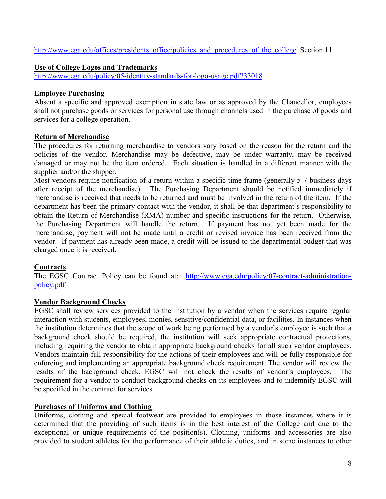[http://www.ega.edu/offices/presidents\\_office/policies\\_and\\_procedures\\_of\\_the\\_college](http://www.ega.edu/offices/presidents_office/policies_and_procedures_of_the_college) Section 11.

# **Use of College Logos and Trademarks**

<http://www.ega.edu/policy/05-identity-standards-for-logo-usage.pdf?33018>

#### **Employee Purchasing**

Absent a specific and approved exemption in state law or as approved by the Chancellor, employees shall not purchase goods or services for personal use through channels used in the purchase of goods and services for a college operation.

#### **Return of Merchandise**

The procedures for returning merchandise to vendors vary based on the reason for the return and the policies of the vendor. Merchandise may be defective, may be under warranty, may be received damaged or may not be the item ordered. Each situation is handled in a different manner with the supplier and/or the shipper.

Most vendors require notification of a return within a specific time frame (generally 5-7 business days after receipt of the merchandise). The Purchasing Department should be notified immediately if merchandise is received that needs to be returned and must be involved in the return of the item. If the department has been the primary contact with the vendor, it shall be that department's responsibility to obtain the Return of Merchandise (RMA) number and specific instructions for the return. Otherwise, the Purchasing Department will handle the return. If payment has not yet been made for the merchandise, payment will not be made until a credit or revised invoice has been received from the vendor. If payment has already been made, a credit will be issued to the departmental budget that was charged once it is received.

# **Contracts**

The EGSC Contract Policy can be found at: [http://www.ega.edu/policy/07-contract-administration](http://www.ega.edu/policy/07-contract-administration-policy.pdf)[policy.pdf](http://www.ega.edu/policy/07-contract-administration-policy.pdf)

#### **Vendor Background Checks**

EGSC shall review services provided to the institution by a vendor when the services require regular interaction with students, employees, monies, sensitive/confidential data, or facilities. In instances when the institution determines that the scope of work being performed by a vendor's employee is such that a background check should be required, the institution will seek appropriate contractual protections, including requiring the vendor to obtain appropriate background checks for all such vendor employees. Vendors maintain full responsibility for the actions of their employees and will be fully responsible for enforcing and implementing an appropriate background check requirement. The vendor will review the results of the background check. EGSC will not check the results of vendor's employees. The requirement for a vendor to conduct background checks on its employees and to indemnify EGSC will be specified in the contract for services.

#### **Purchases of Uniforms and Clothing**

Uniforms, clothing and special footwear are provided to employees in those instances where it is determined that the providing of such items is in the best interest of the College and due to the exceptional or unique requirements of the position(s). Clothing, uniforms and accessories are also provided to student athletes for the performance of their athletic duties, and in some instances to other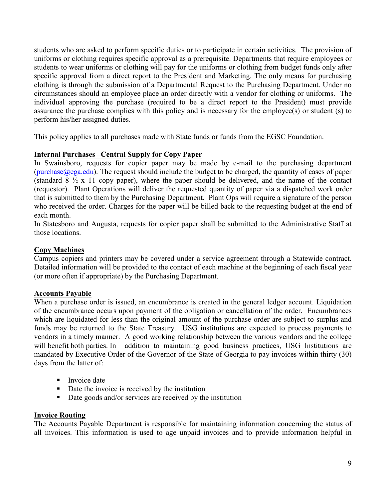students who are asked to perform specific duties or to participate in certain activities. The provision of uniforms or clothing requires specific approval as a prerequisite. Departments that require employees or students to wear uniforms or clothing will pay for the uniforms or clothing from budget funds only after specific approval from a direct report to the President and Marketing. The only means for purchasing clothing is through the submission of a Departmental Request to the Purchasing Department. Under no circumstances should an employee place an order directly with a vendor for clothing or uniforms. The individual approving the purchase (required to be a direct report to the President) must provide assurance the purchase complies with this policy and is necessary for the employee(s) or student (s) to perform his/her assigned duties.

This policy applies to all purchases made with State funds or funds from the EGSC Foundation.

#### **Internal Purchases –Central Supply for Copy Paper**

In Swainsboro, requests for copier paper may be made by e-mail to the purchasing department (purchase  $(\partial_{\xi}e^{i\theta})$  are request should include the budget to be charged, the quantity of cases of paper (standard  $8\frac{1}{2}$  x 11 copy paper), where the paper should be delivered, and the name of the contact (requestor). Plant Operations will deliver the requested quantity of paper via a dispatched work order that is submitted to them by the Purchasing Department. Plant Ops will require a signature of the person who received the order. Charges for the paper will be billed back to the requesting budget at the end of each month.

In Statesboro and Augusta, requests for copier paper shall be submitted to the Administrative Staff at those locations.

#### **Copy Machines**

Campus copiers and printers may be covered under a service agreement through a Statewide contract. Detailed information will be provided to the contact of each machine at the beginning of each fiscal year (or more often if appropriate) by the Purchasing Department.

#### **Accounts Payable**

When a purchase order is issued, an encumbrance is created in the general ledger account. Liquidation of the encumbrance occurs upon payment of the obligation or cancellation of the order. Encumbrances which are liquidated for less than the original amount of the purchase order are subject to surplus and funds may be returned to the State Treasury. USG institutions are expected to process payments to vendors in a timely manner. A good working relationship between the various vendors and the college will benefit both parties. In addition to maintaining good business practices, USG Institutions are mandated by Executive Order of the Governor of the State of Georgia to pay invoices within thirty (30) days from the latter of:

- **Invoice date**
- Date the invoice is received by the institution
- Date goods and/or services are received by the institution

#### **Invoice Routing**

The Accounts Payable Department is responsible for maintaining information concerning the status of all invoices. This information is used to age unpaid invoices and to provide information helpful in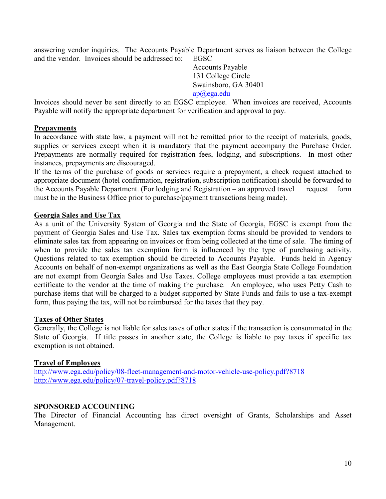answering vendor inquiries. The Accounts Payable Department serves as liaison between the College and the vendor. Invoices should be addressed to: EGSC

Accounts Payable 131 College Circle Swainsboro, GA 30401

[ap@ega.edu](mailto:ap@ega.edu)

Invoices should never be sent directly to an EGSC employee. When invoices are received, Accounts Payable will notify the appropriate department for verification and approval to pay.

#### **Prepayments**

In accordance with state law, a payment will not be remitted prior to the receipt of materials, goods, supplies or services except when it is mandatory that the payment accompany the Purchase Order. Prepayments are normally required for registration fees, lodging, and subscriptions. In most other instances, prepayments are discouraged.

If the terms of the purchase of goods or services require a prepayment, a check request attached to appropriate document (hotel confirmation, registration, subscription notification) should be forwarded to the Accounts Payable Department. (For lodging and Registration – an approved travel request form must be in the Business Office prior to purchase/payment transactions being made).

#### **Georgia Sales and Use Tax**

As a unit of the University System of Georgia and the State of Georgia, EGSC is exempt from the payment of Georgia Sales and Use Tax. Sales tax exemption forms should be provided to vendors to eliminate sales tax from appearing on invoices or from being collected at the time of sale. The timing of when to provide the sales tax exemption form is influenced by the type of purchasing activity. Questions related to tax exemption should be directed to Accounts Payable. Funds held in Agency Accounts on behalf of non-exempt organizations as well as the East Georgia State College Foundation are not exempt from Georgia Sales and Use Taxes. College employees must provide a tax exemption certificate to the vendor at the time of making the purchase. An employee, who uses Petty Cash to purchase items that will be charged to a budget supported by State Funds and fails to use a tax-exempt form, thus paying the tax, will not be reimbursed for the taxes that they pay.

#### **Taxes of Other States**

Generally, the College is not liable for sales taxes of other states if the transaction is consummated in the State of Georgia. If title passes in another state, the College is liable to pay taxes if specific tax exemption is not obtained.

#### **Travel of Employees**

<http://www.ega.edu/policy/08-fleet-management-and-motor-vehicle-use-policy.pdf?8718> <http://www.ega.edu/policy/07-travel-policy.pdf?8718>

#### **SPONSORED ACCOUNTING**

The Director of Financial Accounting has direct oversight of Grants, Scholarships and Asset Management.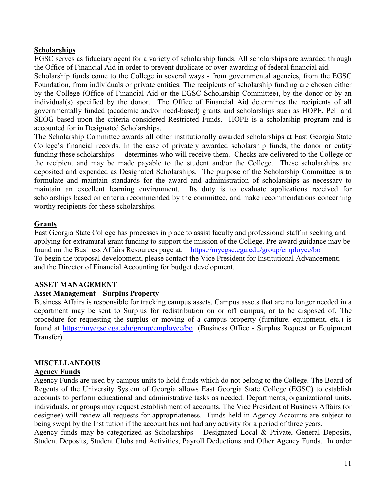#### **Scholarships**

EGSC serves as fiduciary agent for a variety of scholarship funds. All scholarships are awarded through the Office of Financial Aid in order to prevent duplicate or over-awarding of federal financial aid.

Scholarship funds come to the College in several ways - from governmental agencies, from the EGSC Foundation, from individuals or private entities. The recipients of scholarship funding are chosen either by the College (Office of Financial Aid or the EGSC Scholarship Committee), by the donor or by an individual(s) specified by the donor. The Office of Financial Aid determines the recipients of all governmentally funded (academic and/or need-based) grants and scholarships such as HOPE, Pell and SEOG based upon the criteria considered Restricted Funds. HOPE is a scholarship program and is accounted for in Designated Scholarships.

The Scholarship Committee awards all other institutionally awarded scholarships at East Georgia State College's financial records. In the case of privately awarded scholarship funds, the donor or entity funding these scholarships determines who will receive them. Checks are delivered to the College or the recipient and may be made payable to the student and/or the College. These scholarships are deposited and expended as Designated Scholarships. The purpose of the Scholarship Committee is to formulate and maintain standards for the award and administration of scholarships as necessary to maintain an excellent learning environment. Its duty is to evaluate applications received for scholarships based on criteria recommended by the committee, and make recommendations concerning worthy recipients for these scholarships.

#### **Grants**

East Georgia State College has processes in place to assist faculty and professional staff in seeking and applying for extramural grant funding to support the mission of the College. Pre-award guidance may be found on the Business Affairs Resources page at: <https://myegsc.ega.edu/group/employee/bo> To begin the proposal development, please contact the Vice President for Institutional Advancement; and the Director of Financial Accounting for budget development.

#### **ASSET MANAGEMENT**

#### **Asset Management – Surplus Property**

Business Affairs is responsible for tracking campus assets. Campus assets that are no longer needed in a department may be sent to Surplus for redistribution on or off campus, or to be disposed of. The procedure for requesting the surplus or moving of a campus property (furniture, equipment, etc.) is found at <https://myegsc.ega.edu/group/employee/bo> (Business Office - Surplus Request or Equipment Transfer).

#### **MISCELLANEOUS**

#### **Agency Funds**

Agency Funds are used by campus units to hold funds which do not belong to the College. The Board of Regents of the University System of Georgia allows East Georgia State College (EGSC) to establish accounts to perform educational and administrative tasks as needed. Departments, organizational units, individuals, or groups may request establishment of accounts. The Vice President of Business Affairs (or designee) will review all requests for appropriateness. Funds held in Agency Accounts are subject to being swept by the Institution if the account has not had any activity for a period of three years.

Agency funds may be categorized as Scholarships – Designated Local & Private, General Deposits, Student Deposits, Student Clubs and Activities, Payroll Deductions and Other Agency Funds. In order